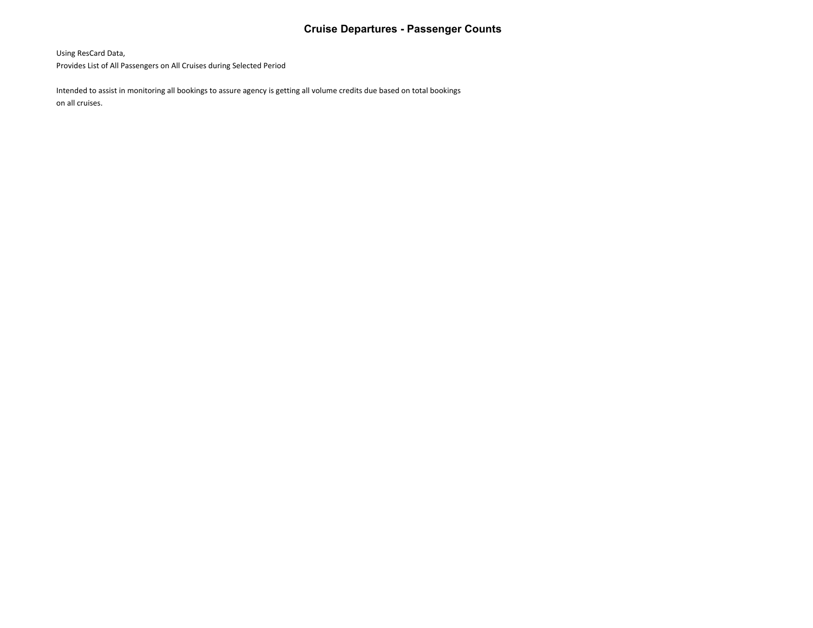## **Cruise Departures - Passenger Counts**

Using ResCard Data,

Provides List of All Passengers on All Cruises during Selected Period

Intended to assist in monitoring all bookings to assure agency is getting all volume credits due based on total bookings on all cruises.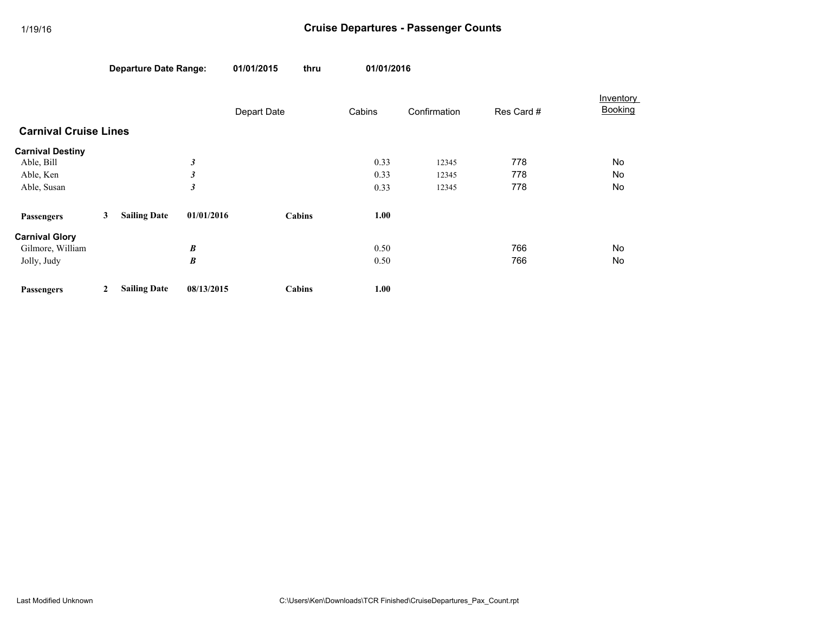|                              | <b>Departure Date Range:</b> |                     |                      | 01/01/2015  | thru   | 01/01/2016 |              |            | Inventory<br>Booking |
|------------------------------|------------------------------|---------------------|----------------------|-------------|--------|------------|--------------|------------|----------------------|
|                              |                              |                     |                      | Depart Date |        | Cabins     | Confirmation | Res Card # |                      |
| <b>Carnival Cruise Lines</b> |                              |                     |                      |             |        |            |              |            |                      |
| <b>Carnival Destiny</b>      |                              |                     |                      |             |        |            |              |            |                      |
| Able, Bill                   |                              |                     | 3                    |             |        | 0.33       | 12345        | 778        | No                   |
| Able, Ken                    |                              |                     | $\boldsymbol{\beta}$ |             |        | 0.33       | 12345        | 778        | No                   |
| Able, Susan                  |                              |                     | $\boldsymbol{\beta}$ |             |        | 0.33       | 12345        | 778        | No                   |
| <b>Passengers</b>            | 3                            | <b>Sailing Date</b> | 01/01/2016           |             | Cabins | 1.00       |              |            |                      |
| <b>Carnival Glory</b>        |                              |                     |                      |             |        |            |              |            |                      |
| Gilmore, William             |                              |                     | B                    |             |        | 0.50       |              | 766        | No                   |
| Jolly, Judy                  |                              |                     | B                    |             |        | 0.50       |              | 766        | No                   |
| <b>Passengers</b>            | 2                            | <b>Sailing Date</b> | 08/13/2015           |             | Cabins | 1.00       |              |            |                      |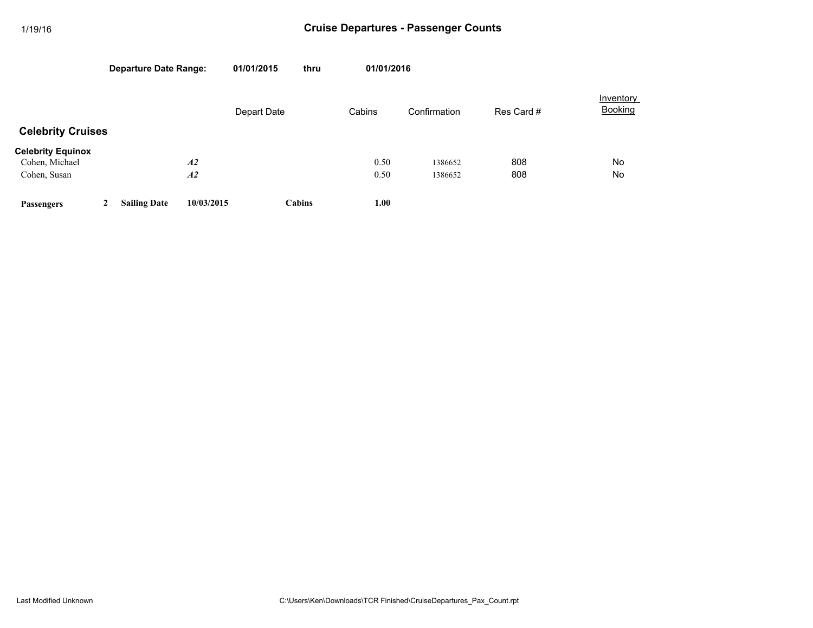|                                            |   | <b>Departure Date Range:</b> |            | 01/01/2015  | thru   | 01/01/2016 |              |            |                             |  |
|--------------------------------------------|---|------------------------------|------------|-------------|--------|------------|--------------|------------|-----------------------------|--|
|                                            |   |                              |            | Depart Date |        | Cabins     | Confirmation | Res Card # | Inventory<br><b>Booking</b> |  |
| <b>Celebrity Cruises</b>                   |   |                              |            |             |        |            |              |            |                             |  |
| <b>Celebrity Equinox</b><br>Cohen, Michael |   | A2                           |            |             |        | 0.50       | 1386652      | 808        | No                          |  |
| Cohen, Susan                               |   | A2                           |            |             |        | 0.50       | 1386652      | 808        | No                          |  |
| <b>Passengers</b>                          | 2 | <b>Sailing Date</b>          | 10/03/2015 |             | Cabins | 1.00       |              |            |                             |  |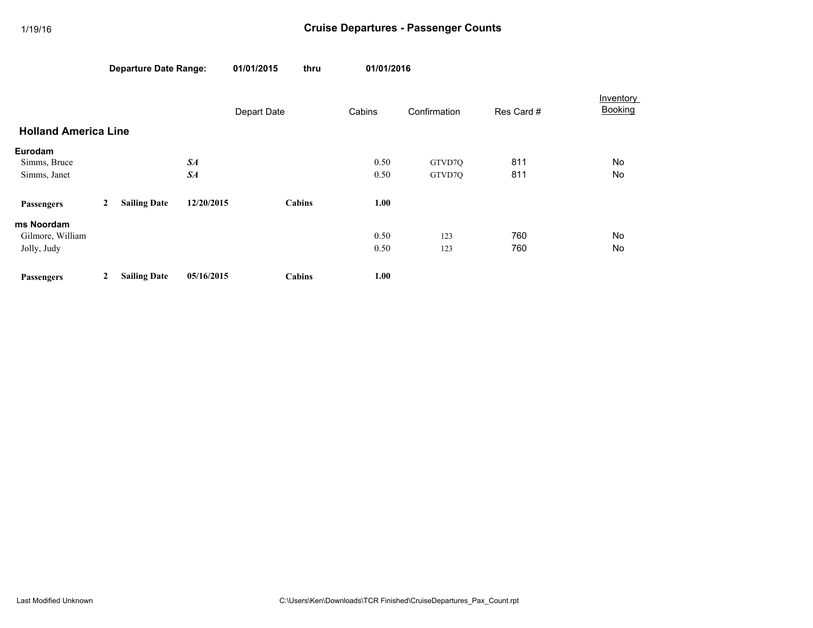|                             |   | <b>Departure Date Range:</b> |            | 01/01/2015  | thru   |        | 01/01/2016   |            |                      |
|-----------------------------|---|------------------------------|------------|-------------|--------|--------|--------------|------------|----------------------|
|                             |   |                              |            | Depart Date |        | Cabins | Confirmation | Res Card # | Inventory<br>Booking |
| <b>Holland America Line</b> |   |                              |            |             |        |        |              |            |                      |
| Eurodam                     |   |                              |            |             |        |        |              |            |                      |
| Simms, Bruce                |   |                              | $S_{A}$    |             |        | 0.50   | GTVD7Q       | 811        | No                   |
| Simms, Janet                |   |                              | SA         |             |        | 0.50   | GTVD70       | 811        | No                   |
| <b>Passengers</b>           | 2 | <b>Sailing Date</b>          | 12/20/2015 |             | Cabins | 1.00   |              |            |                      |
| ms Noordam                  |   |                              |            |             |        |        |              |            |                      |
| Gilmore, William            |   |                              |            |             |        | 0.50   | 123          | 760        | No                   |
| Jolly, Judy                 |   |                              |            |             |        | 0.50   | 123          | 760        | No                   |
| <b>Passengers</b>           | 2 | <b>Sailing Date</b>          | 05/16/2015 |             | Cabins | 1.00   |              |            |                      |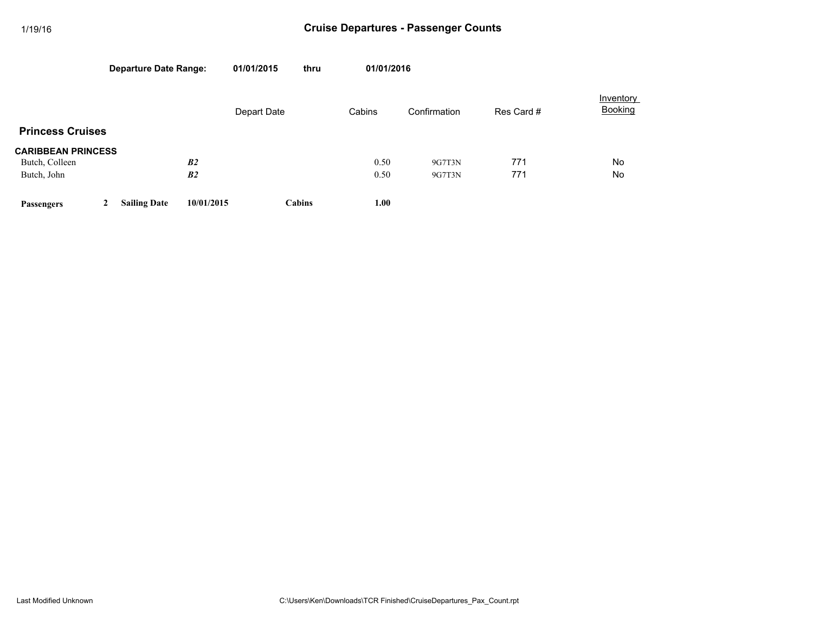|                           |   | <b>Departure Date Range:</b> |                | 01/01/2015  | thru   | 01/01/2016 |              |            |                             |  |
|---------------------------|---|------------------------------|----------------|-------------|--------|------------|--------------|------------|-----------------------------|--|
|                           |   |                              |                | Depart Date |        | Cabins     | Confirmation | Res Card # | Inventory<br><b>Booking</b> |  |
| <b>Princess Cruises</b>   |   |                              |                |             |        |            |              |            |                             |  |
| <b>CARIBBEAN PRINCESS</b> |   |                              |                |             |        |            |              |            |                             |  |
| Butch, Colleen            |   |                              | B <sub>2</sub> |             |        | 0.50       | 9G7T3N       | 771        | <b>No</b>                   |  |
| Butch, John               |   |                              | B <sub>2</sub> |             |        | 0.50       | 9G7T3N       | 771        | No                          |  |
| Passengers                | 2 | <b>Sailing Date</b>          | 10/01/2015     |             | Cabins | 1.00       |              |            |                             |  |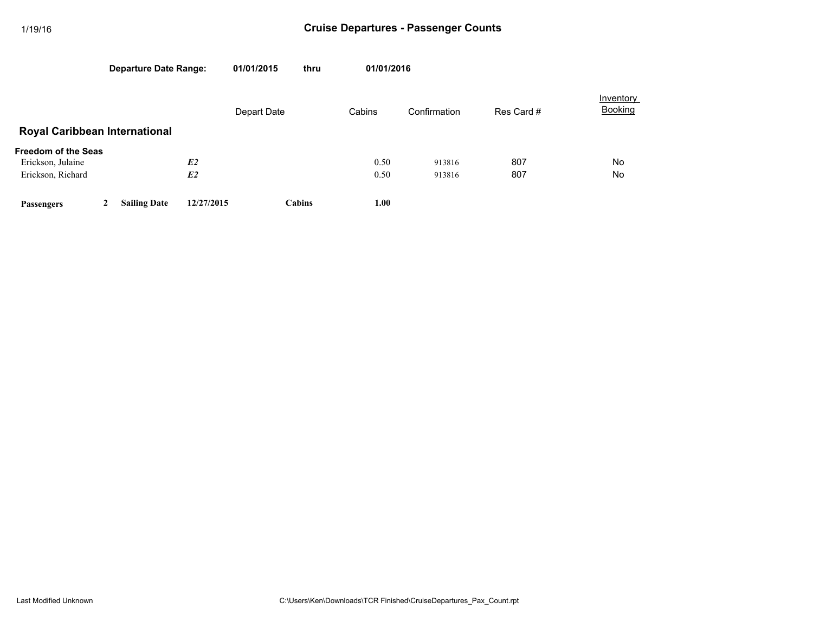|                                                                      |   | <b>Departure Date Range:</b> |                      | 01/01/2015  | thru          | 01/01/2016   |                  |            |                             |  |
|----------------------------------------------------------------------|---|------------------------------|----------------------|-------------|---------------|--------------|------------------|------------|-----------------------------|--|
|                                                                      |   |                              |                      | Depart Date |               | Cabins       | Confirmation     | Res Card # | Inventory<br><b>Booking</b> |  |
| <b>Royal Caribbean International</b>                                 |   |                              |                      |             |               |              |                  |            |                             |  |
| <b>Freedom of the Seas</b><br>Erickson, Julaine<br>Erickson, Richard |   |                              | E2<br>E <sub>2</sub> |             |               | 0.50<br>0.50 | 913816<br>913816 | 807<br>807 | No<br>No                    |  |
| Passengers                                                           | 2 | <b>Sailing Date</b>          | 12/27/2015           |             | <b>Cabins</b> | 1.00         |                  |            |                             |  |